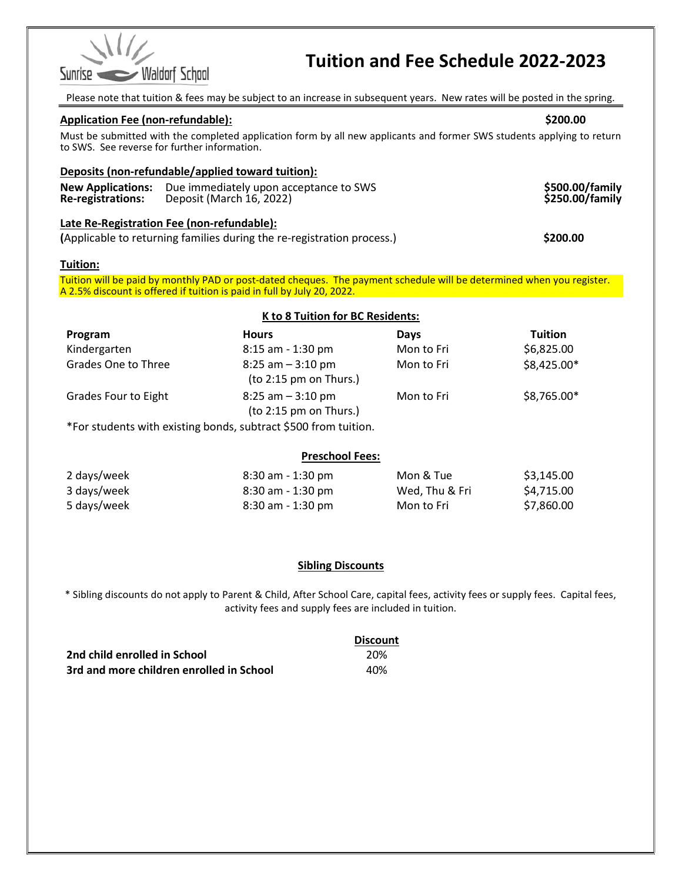# Sunrise Waldorf School **Tuition and Fee Schedule 2022-2023**

Please note that tuition & fees may be subject to an increase in subsequent years. New rates will be posted in the spring.

# Application Fee (non-refundable):  $\blacklozenge$  6200.00

Must be submitted with the completed application form by all new applicants and former SWS students applying to return to SWS. See reverse for further information.

# Deposits (non-refundable/applied toward tuition): New Applications: Due immediately upon acceptance to SWS **\$500 and \$500.00/family**<br>Re-registrations: Deposit (March 16, 2022) Deposit (March 16, 2022) Late Re-Registration Fee (non-refundable): (Applicable to returning families during the re-registration process.)  $\sim$  \$200.00

## Tuition:

Tuition will be paid by monthly PAD or post-dated cheques. The payment schedule will be determined when you register. A 2.5% discount is offered if tuition is paid in full by July 20, 2022.

| Program                     | <b>Hours</b>                                                      | <b>Days</b> | <b>Tuition</b> |
|-----------------------------|-------------------------------------------------------------------|-------------|----------------|
| Kindergarten                | 8:15 am - 1:30 pm                                                 | Mon to Fri  | \$6,825.00     |
| Grades One to Three         | $8:25$ am $-3:10$ pm<br>(to 2:15 pm on Thurs.)                    | Mon to Fri  | \$8,425.00*    |
| <b>Grades Four to Eight</b> | $8:25$ am $-3:10$ pm<br>(to 2:15 pm on Thus.)                     | Mon to Fri  | \$8,765.00*    |
|                             | $*For$ students with ovisting bands, subtract $CE00$ from tuition |             |                |

For students with existing bonds, subtract \$500 from tuition.

|             | <b>Preschool Fees:</b> |                |            |
|-------------|------------------------|----------------|------------|
| 2 days/week | $8:30$ am - 1:30 pm    | Mon & Tue      | \$3,145.00 |
| 3 days/week | 8:30 am - 1:30 pm      | Wed, Thu & Fri | \$4,715.00 |
| 5 days/week | $8:30$ am - 1:30 pm    | Mon to Fri     | \$7,860.00 |

# Sibling Discounts

\* Sibling discounts do not apply to Parent & Child, After School Care, capital fees, activity fees or supply fees. Capital fees, activity fees and supply fees are included in tuition.

|                                          | <b>Discount</b> |  |  |
|------------------------------------------|-----------------|--|--|
| 2nd child enrolled in School             | 20%             |  |  |
| 3rd and more children enrolled in School | 40%             |  |  |